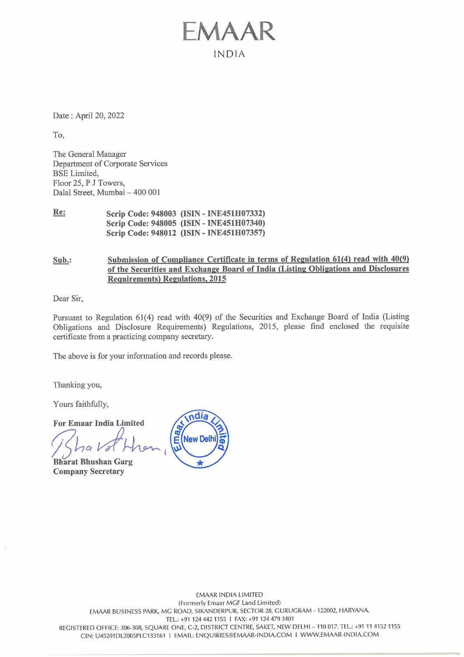Date : April 20, 2022

To,

The General Manager Department of Corporate Services BSE Limited, Floor 25, P J Towers, Dalal Street, Mumbai — 400 001

Re: Scrip Code: 948003 (ISIN - INE451H07332) Scrip Code: 948005 (ISIN - INE451H07340) Scrip Code: 948012 (ISIN - INE451H07357)

Sub.: Submission of Compliance Certificate in terms of Regulation 61(4) read with 40(9) of the Securities and Exchange Board of India (Listing Obligations and Disclosures Requirements) Regulations, 2015

EMAAR

INDIA

Dear Sir,

Pursuant to Regulation 61(4) read with 40(9) of the Securities and Exchange Board of India (Listing Obligations and Disclosure Requirements) Regulations, 2015, please find enclosed the requisite certificate from a practicing company secretary.

The above is for your information and records please.

Thanking you,

Yours faithfully,

For Emaar India Limited

Bharat Bhushan Garg Company Secretary